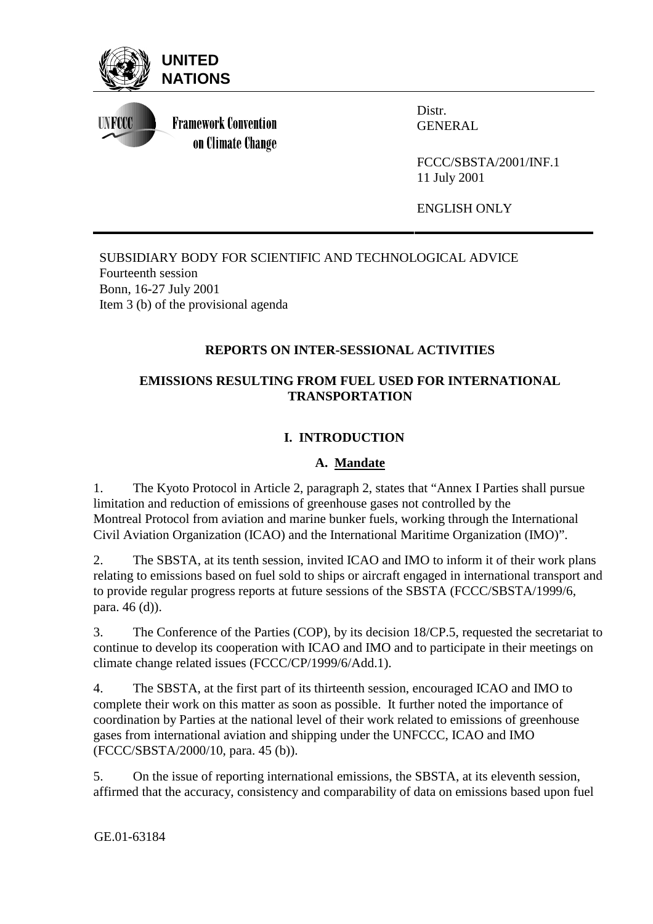

**UNFCCC** 

**Framework Convention** on Climate Change Distr. GENERAL

FCCC/SBSTA/2001/INF.1 11 July 2001

ENGLISH ONLY

SUBSIDIARY BODY FOR SCIENTIFIC AND TECHNOLOGICAL ADVICE Fourteenth session Bonn, 16-27 July 2001 Item 3 (b) of the provisional agenda

# **REPORTS ON INTER-SESSIONAL ACTIVITIES**

### **EMISSIONS RESULTING FROM FUEL USED FOR INTERNATIONAL TRANSPORTATION**

# **I. INTRODUCTION**

### **A. Mandate**

1. The Kyoto Protocol in Article 2, paragraph 2, states that "Annex I Parties shall pursue limitation and reduction of emissions of greenhouse gases not controlled by the Montreal Protocol from aviation and marine bunker fuels, working through the International Civil Aviation Organization (ICAO) and the International Maritime Organization (IMO)".

2. The SBSTA, at its tenth session, invited ICAO and IMO to inform it of their work plans relating to emissions based on fuel sold to ships or aircraft engaged in international transport and to provide regular progress reports at future sessions of the SBSTA (FCCC/SBSTA/1999/6, para. 46 (d)).

3. The Conference of the Parties (COP), by its decision 18/CP.5, requested the secretariat to continue to develop its cooperation with ICAO and IMO and to participate in their meetings on climate change related issues (FCCC/CP/1999/6/Add.1).

4. The SBSTA, at the first part of its thirteenth session, encouraged ICAO and IMO to complete their work on this matter as soon as possible. It further noted the importance of coordination by Parties at the national level of their work related to emissions of greenhouse gases from international aviation and shipping under the UNFCCC, ICAO and IMO (FCCC/SBSTA/2000/10, para. 45 (b)).

5. On the issue of reporting international emissions, the SBSTA, at its eleventh session, affirmed that the accuracy, consistency and comparability of data on emissions based upon fuel

GE.01-63184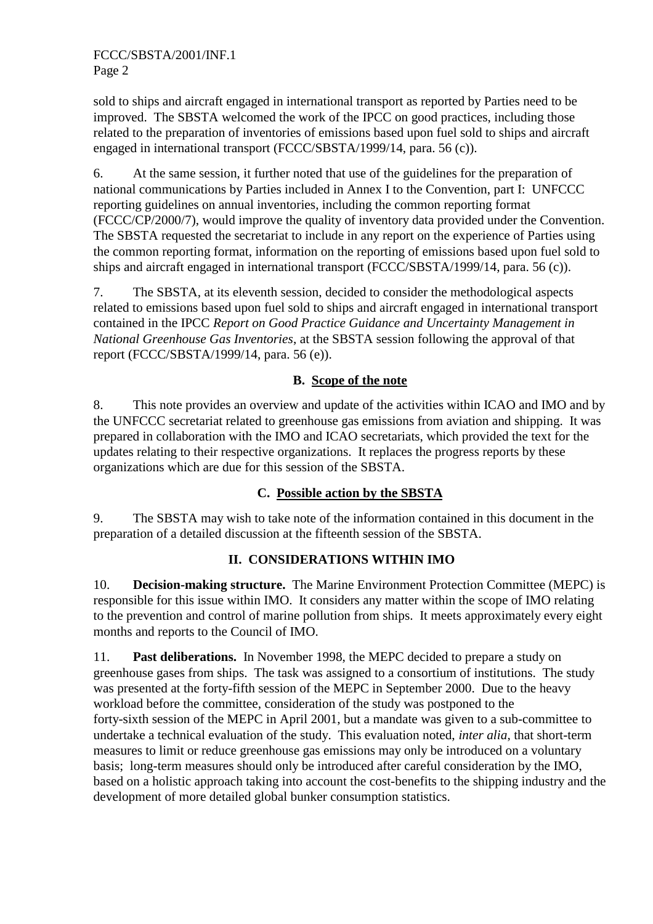sold to ships and aircraft engaged in international transport as reported by Parties need to be improved. The SBSTA welcomed the work of the IPCC on good practices, including those related to the preparation of inventories of emissions based upon fuel sold to ships and aircraft engaged in international transport (FCCC/SBSTA/1999/14, para. 56 (c)).

6. At the same session, it further noted that use of the guidelines for the preparation of national communications by Parties included in Annex I to the Convention, part I: UNFCCC reporting guidelines on annual inventories, including the common reporting format (FCCC/CP/2000/7), would improve the quality of inventory data provided under the Convention. The SBSTA requested the secretariat to include in any report on the experience of Parties using the common reporting format, information on the reporting of emissions based upon fuel sold to ships and aircraft engaged in international transport (FCCC/SBSTA/1999/14, para. 56 (c)).

7. The SBSTA, at its eleventh session, decided to consider the methodological aspects related to emissions based upon fuel sold to ships and aircraft engaged in international transport contained in the IPCC *Report on Good Practice Guidance and Uncertainty Management in National Greenhouse Gas Inventories*, at the SBSTA session following the approval of that report (FCCC/SBSTA/1999/14, para. 56 (e)).

#### **B. Scope of the note**

8. This note provides an overview and update of the activities within ICAO and IMO and by the UNFCCC secretariat related to greenhouse gas emissions from aviation and shipping. It was prepared in collaboration with the IMO and ICAO secretariats, which provided the text for the updates relating to their respective organizations. It replaces the progress reports by these organizations which are due for this session of the SBSTA.

### **C. Possible action by the SBSTA**

9. The SBSTA may wish to take note of the information contained in this document in the preparation of a detailed discussion at the fifteenth session of the SBSTA.

### **II. CONSIDERATIONS WITHIN IMO**

10. **Decision-making structure.** The Marine Environment Protection Committee (MEPC) is responsible for this issue within IMO. It considers any matter within the scope of IMO relating to the prevention and control of marine pollution from ships. It meets approximately every eight months and reports to the Council of IMO.

11. **Past deliberations.** In November 1998, the MEPC decided to prepare a study on greenhouse gases from ships. The task was assigned to a consortium of institutions. The study was presented at the forty-fifth session of the MEPC in September 2000. Due to the heavy workload before the committee, consideration of the study was postponed to the forty-sixth session of the MEPC in April 2001, but a mandate was given to a sub-committee to undertake a technical evaluation of the study. This evaluation noted, *inter alia*, that short-term measures to limit or reduce greenhouse gas emissions may only be introduced on a voluntary basis; long-term measures should only be introduced after careful consideration by the IMO, based on a holistic approach taking into account the cost-benefits to the shipping industry and the development of more detailed global bunker consumption statistics.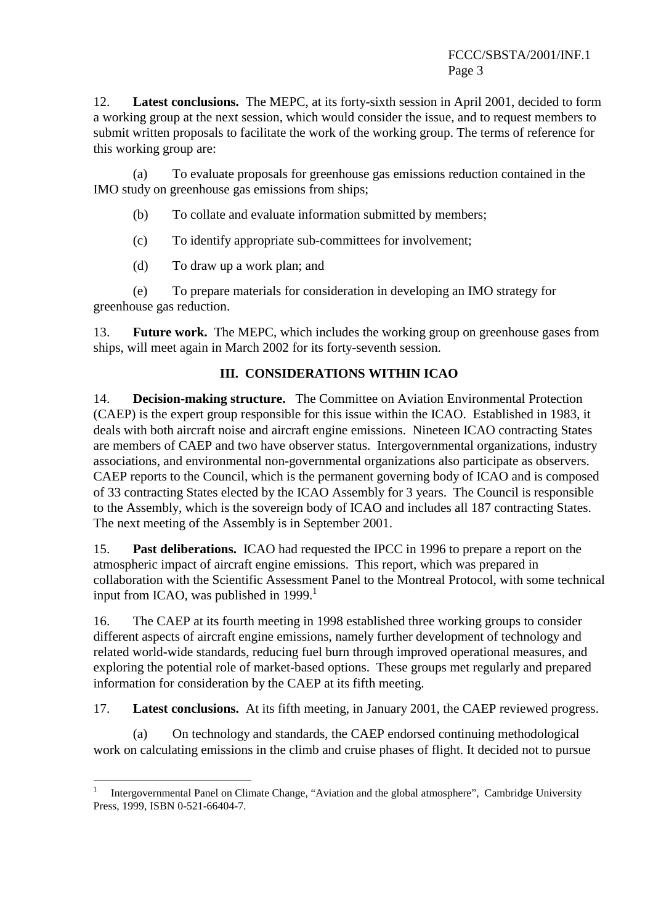12. **Latest conclusions.** The MEPC, at its forty-sixth session in April 2001, decided to form a working group at the next session, which would consider the issue, and to request members to submit written proposals to facilitate the work of the working group. The terms of reference for this working group are:

(a) To evaluate proposals for greenhouse gas emissions reduction contained in the IMO study on greenhouse gas emissions from ships;

- (b) To collate and evaluate information submitted by members;
- (c) To identify appropriate sub-committees for involvement;
- (d) To draw up a work plan; and

 $\overline{a}$ 

(e) To prepare materials for consideration in developing an IMO strategy for greenhouse gas reduction.

13. **Future work.** The MEPC, which includes the working group on greenhouse gases from ships, will meet again in March 2002 for its forty-seventh session.

#### **III. CONSIDERATIONS WITHIN ICAO**

14. **Decision-making structure.** The Committee on Aviation Environmental Protection (CAEP) is the expert group responsible for this issue within the ICAO. Established in 1983, it deals with both aircraft noise and aircraft engine emissions. Nineteen ICAO contracting States are members of CAEP and two have observer status. Intergovernmental organizations, industry associations, and environmental non-governmental organizations also participate as observers. CAEP reports to the Council, which is the permanent governing body of ICAO and is composed of 33 contracting States elected by the ICAO Assembly for 3 years. The Council is responsible to the Assembly, which is the sovereign body of ICAO and includes all 187 contracting States. The next meeting of the Assembly is in September 2001.

15. **Past deliberations.** ICAO had requested the IPCC in 1996 to prepare a report on the atmospheric impact of aircraft engine emissions. This report, which was prepared in collaboration with the Scientific Assessment Panel to the Montreal Protocol, with some technical input from ICAO, was published in  $1999<sup>1</sup>$ 

16. The CAEP at its fourth meeting in 1998 established three working groups to consider different aspects of aircraft engine emissions, namely further development of technology and related world-wide standards, reducing fuel burn through improved operational measures, and exploring the potential role of market-based options. These groups met regularly and prepared information for consideration by the CAEP at its fifth meeting.

17. **Latest conclusions.** At its fifth meeting, in January 2001, the CAEP reviewed progress.

(a) On technology and standards, the CAEP endorsed continuing methodological work on calculating emissions in the climb and cruise phases of flight. It decided not to pursue

<sup>1</sup> Intergovernmental Panel on Climate Change, "Aviation and the global atmosphere", Cambridge University Press, 1999, ISBN 0-521-66404-7.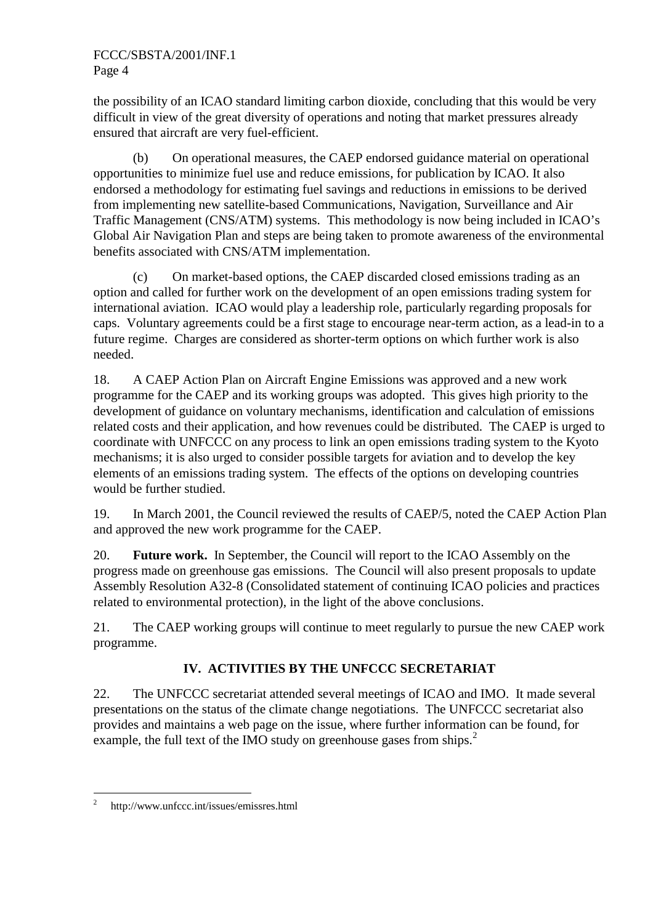the possibility of an ICAO standard limiting carbon dioxide, concluding that this would be very difficult in view of the great diversity of operations and noting that market pressures already ensured that aircraft are very fuel-efficient.

(b) On operational measures, the CAEP endorsed guidance material on operational opportunities to minimize fuel use and reduce emissions, for publication by ICAO. It also endorsed a methodology for estimating fuel savings and reductions in emissions to be derived from implementing new satellite-based Communications, Navigation, Surveillance and Air Traffic Management (CNS/ATM) systems. This methodology is now being included in ICAO's Global Air Navigation Plan and steps are being taken to promote awareness of the environmental benefits associated with CNS/ATM implementation.

(c) On market-based options, the CAEP discarded closed emissions trading as an option and called for further work on the development of an open emissions trading system for international aviation. ICAO would play a leadership role, particularly regarding proposals for caps. Voluntary agreements could be a first stage to encourage near-term action, as a lead-in to a future regime. Charges are considered as shorter-term options on which further work is also needed.

18. A CAEP Action Plan on Aircraft Engine Emissions was approved and a new work programme for the CAEP and its working groups was adopted. This gives high priority to the development of guidance on voluntary mechanisms, identification and calculation of emissions related costs and their application, and how revenues could be distributed. The CAEP is urged to coordinate with UNFCCC on any process to link an open emissions trading system to the Kyoto mechanisms; it is also urged to consider possible targets for aviation and to develop the key elements of an emissions trading system. The effects of the options on developing countries would be further studied.

19. In March 2001, the Council reviewed the results of CAEP/5, noted the CAEP Action Plan and approved the new work programme for the CAEP.

20. **Future work.** In September, the Council will report to the ICAO Assembly on the progress made on greenhouse gas emissions. The Council will also present proposals to update Assembly Resolution A32-8 (Consolidated statement of continuing ICAO policies and practices related to environmental protection), in the light of the above conclusions.

21. The CAEP working groups will continue to meet regularly to pursue the new CAEP work programme.

# **IV. ACTIVITIES BY THE UNFCCC SECRETARIAT**

22. The UNFCCC secretariat attended several meetings of ICAO and IMO. It made several presentations on the status of the climate change negotiations. The UNFCCC secretariat also provides and maintains a web page on the issue, where further information can be found, for example, the full text of the IMO study on greenhouse gases from ships.<sup>2</sup>

 $\frac{1}{2}$ http://www.unfccc.int/issues/emissres.html